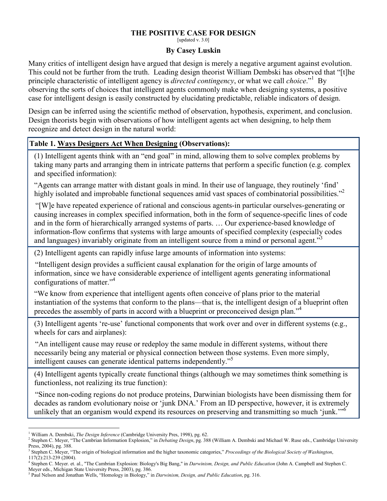## THE POSITIVE CASE FOR DESIGN [updated v. 3.0]

## By Casey Luskin

Many critics of intelligent design have argued that design is merely a negative argument against evolution. This could not be further from the truth. Leading design theorist William Dembski has observed that "[t]he principle characteristic of intelligent agency is *directed contingency*, or what we call *choice*."<sup>1</sup> By observing the sorts of choices that intelligent agents commonly make when designing systems, a positive case for intelligent design is easily constructed by elucidating predictable, reliable indicators of design.

Design can be inferred using the scientific method of observation, hypothesis, experiment, and conclusion. Design theorists begin with observations of how intelligent agents act when designing, to help them recognize and detect design in the natural world:

## Table 1. Ways Designers Act When Designing (Observations):

(1) Intelligent agents think with an "end goal" in mind, allowing them to solve complex problems by taking many parts and arranging them in intricate patterns that perform a specific function (e.g. complex and specified information):

"Agents can arrange matter with distant goals in mind. In their use of language, they routinely 'find' highly isolated and improbable functional sequences amid vast spaces of combinatorial possibilities."<sup>2</sup>

"[W]e have repeated experience of rational and conscious agents-in particular ourselves-generating or causing increases in complex specified information, both in the form of sequence-specific lines of code and in the form of hierarchically arranged systems of parts. … Our experience-based knowledge of information-flow confirms that systems with large amounts of specified complexity (especially codes and languages) invariably originate from an intelligent source from a mind or personal agent."

(2) Intelligent agents can rapidly infuse large amounts of information into systems:

"Intelligent design provides a sufficient causal explanation for the origin of large amounts of information, since we have considerable experience of intelligent agents generating informational configurations of matter."<sup>4</sup>

"We know from experience that intelligent agents often conceive of plans prior to the material instantiation of the systems that conform to the plans—that is, the intelligent design of a blueprint often precedes the assembly of parts in accord with a blueprint or preconceived design plan."<sup>4</sup>

(3) Intelligent agents 're-use' functional components that work over and over in different systems (e.g., wheels for cars and airplanes):

"An intelligent cause may reuse or redeploy the same module in different systems, without there necessarily being any material or physical connection between those systems. Even more simply, intelligent causes can generate identical patterns independently."<sup>5</sup>

(4) Intelligent agents typically create functional things (although we may sometimes think something is functionless, not realizing its true function):

"Since non-coding regions do not produce proteins, Darwinian biologists have been dismissing them for decades as random evolutionary noise or 'junk DNA.' From an ID perspective, however, it is extremely unlikely that an organism would expend its resources on preserving and transmitting so much 'junk.'"<sup>6</sup>

<sup>&</sup>lt;sup>1</sup> William A. Dembski, *The Design Inference* (Cambridge University Pres, 1998), pg. 62.

<sup>&</sup>lt;sup>2</sup> Stephen C. Meyer, "The Cambrian Information Explosion," in Debating Design, pg. 388 (William A. Dembski and Michael W. Ruse eds., Cambridge University Press, 2004), pg. 388.

 $3$  Stephen C. Meyer, "The origin of biological information and the higher taxonomic categories," Proceedings of the Biological Society of Washington, 117(2):213-239 (2004).

<sup>&</sup>lt;sup>4</sup> Stephen C. Meyer. et. al., "The Cambrian Explosion: Biology's Big Bang," in *Darwinism, Design, and Public Education* (John A. Campbell and Stephen C.

Meyer eds., Michigan State University Press, 2003), pg. 386.

<sup>&</sup>lt;sup>5</sup> Paul Nelson and Jonathan Wells, "Homology in Biology," in *Darwinism, Design, and Public Education*, pg. 316.